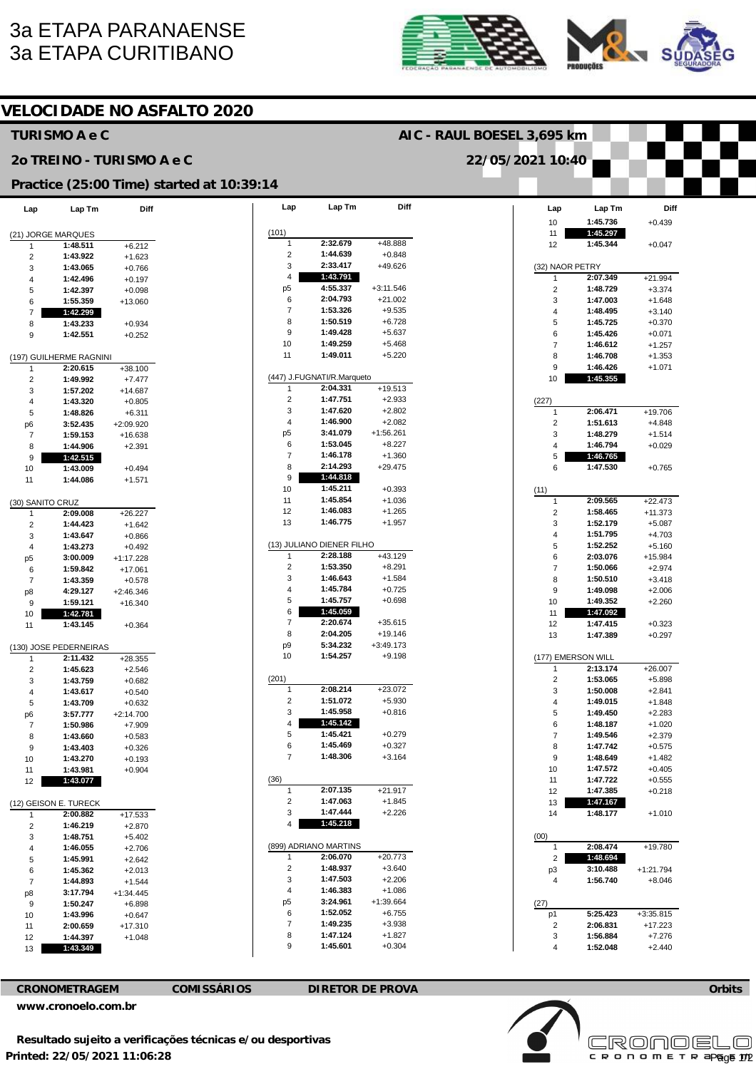## **3a ETAPA PARANAENSE 3a ETAPA CURITIBANO**





## **VELOCIDADE NO ASFALTO 2020 TURISMO A e C** AIC - RAUL BOESEL 3.695 km 20 TREINO - TURISMO A e C 22/05/2021 10:40 Practice (25:00 Time) started at 10:39:14 Diff Lap Lap Tm Diff Lap Lap Tm Diff Lap Lap Tm 1:45.736  $10$  $+0.439$  $(101)$  $1.45.297$ (21) JORGE MARQUES  $11$  $2:32.679$ +48.888 1:48.511  $+6.212$  $12$ 1:45.344  $+0.047$ 1  $1:44.639$  $\overline{2}$ 1:43.922  $+1.623$  $\mathcal{P}$  $+0.848$  $\overline{\mathbf{z}}$  $2.33417$  $\pm 49.626$ (32) NAOR PETRY 1:43.065  $+0.766$ 3  $\Delta$ 1:43.791 2:07.349  $+21.994$ 1:42.496  $\overline{4}$  $+0.197$  $A - 5537$  $+3:11.546$  $D<sub>5</sub>$  $\overline{2}$ 1:48.729  $+3.374$  $\overline{5}$  $1:42.397$  $+0.098$ 2:04.793  $+21.002$ 6 1:47.003  $+1.648$ 1:55.359  $+13.060$ 3  $\epsilon$ 1:53.326  $+9.535$  $\overline{7}$ 1:48.495  $\overline{7}$ 1:42.299  $\overline{4}$  $+3,140$ 8 1:50.519  $+6.728$ 8 1:43.233  $+0.934$  $\sqrt{2}$  $1:45.725$  $+0.370$ 1:49.428  $\mathbf{q}$  $+5637$ 6  $1.45.426$  $+0.071$ 9 1:42.551  $+0.252$ 1:49.259  $+5.468$  $10$  $1.46612$  $+1.257$ (197) GUILHERME RAGNINI  $11$ 1:49.011  $+5.220$ 8 1:46.708  $+1.353$ 1:46.426  $+1.071$  $+38.100$ 9  $\overline{1}$ 2:20.615 (447) J.FUGNATI/R.Marqueto  $\mathcal{L}$  $1:49.992$  $+7477$  $10$ 1:45.355 2:04.331  $+19.513$  $\sqrt{3}$  $1.57202$  $+14.687$ 1:47.751  $+2.933$  $(227)$  $\overline{2}$  $\lambda$ 1:43.320  $+0.805$ 1:47.620  $+2.802$  $2:06.471$ 5 1:48.826  $+6.311$ 3  $\overline{1}$ +19.706  $\overline{4}$ 1:46.900  $+2082$  $1:51.613$  $+4.848$ 3:52.435  $+2:09.920$  $\overline{2}$ p<sub>6</sub> p<sub>5</sub> 3:41.079  $+1.56$  261 1:48.279  $+1.514$  $\overline{7}$ 1:59.153  $+16.638$ 3 1:53.045  $+8.227$ 6 1:46.794  $+0.029$ 1:44.906  $+2.391$ 8  $\overline{7}$ 1:46.178  $+1.360$ 1:46.765  $\overline{5}$  $1.4255$  $\mathsf{Q}$ 2:14.293 8  $+29.475$  $+0.765$ 1:47.530 6  $10$  $1:43.009$  $+0.494$  $\mathsf g$ 1:44.818  $11$ 1:44.086  $+1.571$ 1:45.211  $+0.393$ 10  $(11)$ 1:45.854 11  $+1.036$  $2:09.565$  $+22.473$ (30) SANITO CRUZ 1  $1.46083$  $2:09.008$  $+26.227$  $12$  $+1.265$  $\mathcal{L}$ 1:58.465  $+11.373$  $\mathbf{1}$  $13$ 1:46.775  $+1.957$ 1:52.179  $\overline{c}$ 3  $+5.087$ 1:44.423  $+1.642$  $\overline{4}$ 1:51.795  $+4.703$  $\mathbf{3}$ 1:43.647  $+0.866$ (13) JULIANO DIENER FILHO 1:52.252  $+5.160$  $\overline{4}$ 1:43.273  $+0.492$ 5 2:28.188  $+43.129$ 2:03.076  $+15.984$  $n<sub>5</sub>$ 3:00.009  $+1.17228$ 6  $1:53.350$  $\overline{c}$  $+8.291$  $6\overline{6}$ 1:59.842  $+17.061$  $\overline{7}$ 1:50.066  $+2974$ 1:46.643 1:43.359 3  $+1.584$  $\overline{8}$ 1:50.510  $+3.418$  $\overline{ }$  $+0.578$ 1:45.784 4:29.127  $\overline{4}$  $+0.725$  $\mathsf{q}$ 1:49.098  $+2006$  $+2:46.346$ p8 1:59.121  $+16.340$  $\sqrt{2}$  $1:45.757$  $+0.698$  $10$ 1:49.352  $+2.260$  $\mathbf{q}$ 1:42.781  $\,6$  $1:45.059$  $11$ 1:47.092  $10$  $2.20674$  $+35615$  $1:47.415$  $\overline{ }$  $+0.323$  $12$  $11$  $1:43.145$  $+0.364$ 8 2:04.205  $+19.146$  $13$ 1:47.389  $+0.297$ 5:34.232  $+3:49.173$ p9 (130) JOSE PEDERNEIRAS  $10$ 1:54.257  $+9.198$ 2:11.432  $+28.355$ (177) EMERSON WILL  $\overline{1}$  $\overline{2}$ 1:45.623  $+2.546$  $\overline{1}$ 2:13.174  $+26.007$  $(201)$  $\overline{2}$ 1:53.065  $+5.898$  $\overline{3}$ 1:43.759  $+0.682$  $2:08.214$  $+23.072$ 1:43.617  $+0.540$  $\overline{3}$ 1:50.008  $+2.841$  $\Delta$ 1:51.072  $+5.930$  $\overline{4}$  $\overline{2}$ 1:49.015  $+1.848$ 1:43.709 5  $+0.632$ 3 1:45.958  $+0.816$  $\overline{5}$ 1:49.450  $+2.283$ p6  $3:57.777$  $+2:14.700$ 1:45.142  $\overline{4}$ 1:48.187  $+1.020$  $\overline{7}$  $1.50986$  $+7909$ 6  $1:45.421$ 5  $+0.279$  $\overline{a}$ 1:43.660  $+0.583$  $\overline{7}$  $1:49.546$  $+2.379$ 1:45.469  $6\overline{6}$  $+0.327$ 1:43.403  $+0.326$ 8 1:47.742  $+0.575$  $\mathbf{g}$ 1:48.306  $+3.164$ 1:43.270  $\overline{7}$  $\mathbf{q}$ 1:48.649  $+1.482$  $10$  $+0.193$  $10$ 1:47.572  $+0.405$  $11$ 1:43.981  $+0.904$  $(36)$ 1:47.722 1:43.077  $11$  $+0.555$  $12$ 2:07.135  $+21.917$  $\overline{1}$  $12$ 1:47.385  $+0.218$ 1:47.063  $+1.845$  $\overline{2}$ (12) GEISON E. TURECK  $13$ 1:47.167 1:47.444 3  $+2.226$  $+1.010$  $\overline{1}$ 2:00.882  $+17.533$  $14$ 1:48.177 1:45.218  $\overline{c}$  $1:46.219$  $+2.870$  $\overline{4}$ 1:48.751  $(00)$  $\overline{3}$  $+5.402$ (899) ADRIANO MARTINS 2:08.474  $+19.780$  $\overline{4}$ 1:46.055  $+2.706$  $\overline{1}$  $+20773$ 2:06.070  $1:48.694$  $\overline{1}$  $\overline{2}$ 5 1:45.991  $+2.642$  $\overline{2}$ 1:48.937  $+3640$ 3:10.488  $6\overline{6}$ 1:45.362  $+2.013$  $+1:21.794$ p3 3 1:47.503  $+2.206$ 1:56.740  $+8.046$  $\overline{4}$ 1:44.893  $\overline{7}$  $+1.544$ 1:46.383  $\overline{4}$  $+1.086$ p8  $3.17794$  $+1.34445$  $n<sub>5</sub>$ 3:24.961  $+1.39664$  $_{9}$  $1:50.247$  $+6.898$  $(27)$  $\epsilon$ 1:52.052  $+6.755$  $1.43996$  $p1$  $5.25423$  $+3.35.815$  $10$  $+0.647$  $+17.223$ 2:00.659  $\overline{7}$ 1:49.235  $+3.938$  $\overline{2}$ 2:06.831  $11$  $+17.310$  $1:47.124$ 1:44.397 8  $+1.827$ 3  $1.56884$  $+7.276$  $12$  $+1.048$ 9 1:45.601  $+0.304$  $\overline{4}$ 1:52.048  $+2.440$ 1:43.349

**CRONOMETRAGEM** 

 $13$ 

**COMISSÁRIOS** 

**DIRETOR DE PROVA** 

www.cronoelo.com.br



**Orbits** 

 $\Box$ 

CRONOEI

c R o n o m E T R apgge 172